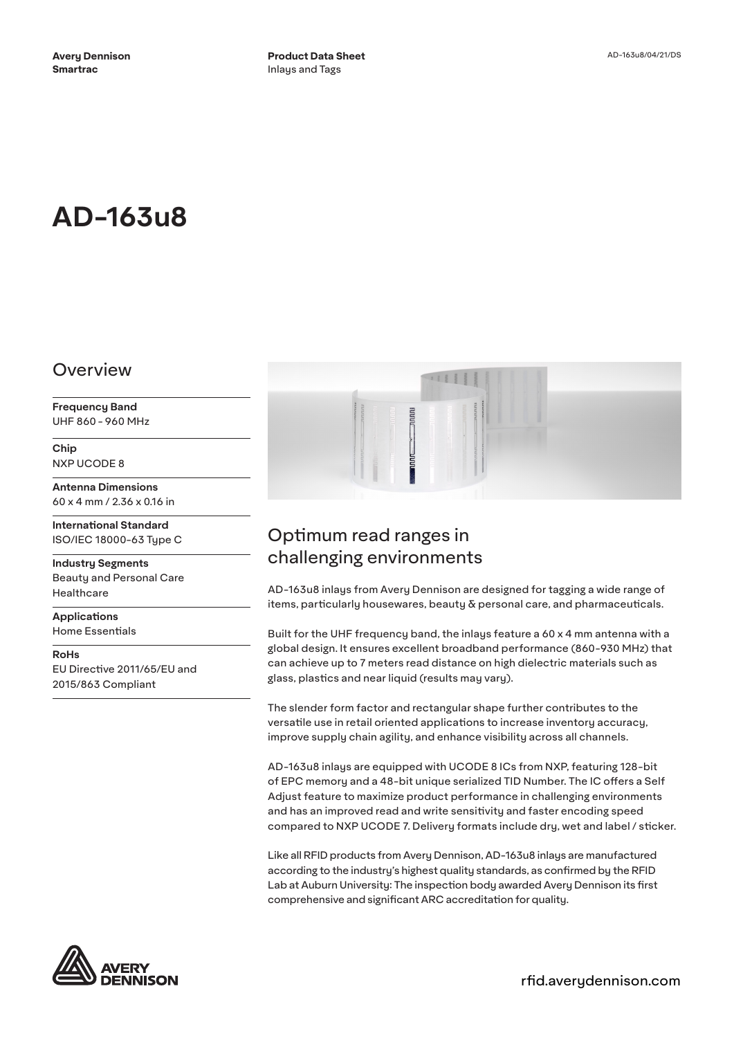# **AD-163u8**

#### Overview

**Frequency Band** UHF 860 - 960 MHz

**Chip** NXP UCODE 8

**Antenna Dimensions** 60 x 4 mm / 2.36 x 0.16 in

**International Standard** ISO/IEC 18000-63 Type C

**Industry Segments** Beauty and Personal Care Healthcare

**Applications** Home Essentials

**RoHs** EU Directive 2011/65/EU and 2015/863 Compliant



# Optimum read ranges in challenging environments

AD-163u8 inlays from Avery Dennison are designed for tagging a wide range of items, particularly housewares, beauty  $\delta$  personal care, and pharmaceuticals.

Built for the UHF frequency band, the inlays feature a 60 x 4 mm antenna with a global design. It ensures excellent broadband performance (860-930 MHz) that can achieve up to 7 meters read distance on high dielectric materials such as glass, plastics and near liquid (results may vary).

The slender form factor and rectangular shape further contributes to the versatile use in retail oriented applications to increase inventory accuracy, improve supply chain agility, and enhance visibility across all channels.

AD-163u8 inlays are equipped with UCODE 8 ICs from NXP, featuring 128-bit of EPC memory and a 48-bit unique serialized TID Number. The IC offers a Self Adjust feature to maximize product performance in challenging environments and has an improved read and write sensitivity and faster encoding speed compared to NXP UCODE 7. Delivery formats include dry, wet and label / sticker.

Like all RFID products from Avery Dennison, AD-163u8 inlays are manufactured according to the industry's highest quality standards, as confirmed by the RFID Lab at Auburn University: The inspection body awarded Avery Dennison its first comprehensive and significant ARC accreditation for quality.